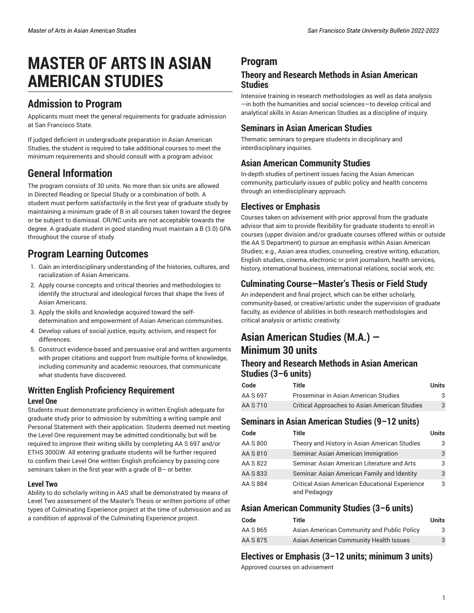# **MASTER OF ARTS IN ASIAN AMERICAN STUDIES**

### **Admission to Program**

Applicants must meet the general requirements for graduate admission at San Francisco State.

If judged deficient in undergraduate preparation in Asian American Studies, the student is required to take additional courses to meet the minimum requirements and should consult with a program advisor.

# **General Information**

The program consists of 30 units. No more than six units are allowed in Directed Reading or Special Study or a combination of both. A student must perform satisfactorily in the first year of graduate study by maintaining a minimum grade of B in all courses taken toward the degree or be subject to dismissal. CR/NC units are not acceptable towards the degree. A graduate student in good standing must maintain a B (3.0) GPA throughout the course of study.

## **Program Learning Outcomes**

- 1. Gain an interdisciplinary understanding of the histories, cultures, and racialization of Asian Americans.
- 2. Apply course concepts and critical theories and methodologies to identify the structural and ideological forces that shape the lives of Asian Americans.
- 3. Apply the skills and knowledge acquired toward the selfdetermination and empowerment of Asian American communities.
- 4. Develop values of social justice, equity, activism, and respect for differences.
- 5. Construct evidence-based and persuasive oral and written arguments with proper citations and support from multiple forms of knowledge, including community and academic resources, that communicate what students have discovered.

## **Written English Proficiency Requirement**

#### **Level One**

Students must demonstrate proficiency in written English adequate for graduate study prior to admission by submitting a writing sample and Personal Statement with their application. Students deemed not meeting the Level One requirement may be admitted conditionally, but will be required to improve their writing skills by completing AA S 697 and/or ETHS 300GW. All entering graduate students will be further required to confirm their Level One written English proficiency by passing core seminars taken in the first year with a grade of B– or better.

#### **Level Two**

Ability to do scholarly writing in AAS shall be demonstrated by means of Level Two assessment of the Master's Thesis or written portions of other types of Culminating Experience project at the time of submission and as a condition of approval of the Culminating Experience project.

### **Program**

#### **Theory and Research Methods in Asian American Studies**

Intensive training in research methodologies as well as data analysis —in both the humanities and social sciences—to develop critical and analytical skills in Asian American Studies as a discipline of inquiry.

### **Seminars in Asian American Studies**

Thematic seminars to prepare students in disciplinary and interdisciplinary inquiries.

### **Asian American Community Studies**

In-depth studies of pertinent issues facing the Asian American community, particularly issues of public policy and health concerns through an interdisciplinary approach.

#### **Electives or Emphasis**

Courses taken on advisement with prior approval from the graduate advisor that aim to provide flexibility for graduate students to enroll in courses (upper division and/or graduate courses offered within or outside the AA S Department) to pursue an emphasis within Asian American Studies; e.g., Asian area studies, counseling, creative writing, education, English studies, cinema, electronic or print journalism, health services, history, international business, international relations, social work, etc.

### **Culminating Course—Master's Thesis or Field Study**

An independent and final project, which can be either scholarly, community-based, or creative/artistic under the supervision of graduate faculty, as evidence of abilities in both research methodologies and critical analysis or artistic creativity.

### **Asian American Studies (M.A.) — Minimum 30 units**

#### **Theory and Research Methods in Asian American Studies (3–6 units)**

| Code     | Title                                         | Units |
|----------|-----------------------------------------------|-------|
| AA S 697 | Proseminar in Asian American Studies          | 3     |
| AA S 710 | Critical Approaches to Asian American Studies | 3     |

#### **Seminars in Asian American Studies (9–12 units)**

| Code     | Title                                                                 | <b>Units</b> |
|----------|-----------------------------------------------------------------------|--------------|
| AA S 800 | Theory and History in Asian American Studies                          | 3            |
| AA S 810 | Seminar: Asian American Immigration                                   | 3            |
| AA S 822 | Seminar: Asian American Literature and Arts                           | 3            |
| AA S 833 | Seminar: Asian American Family and Identity                           | 3            |
| AA S 884 | <b>Critical Asian American Educational Experience</b><br>and Pedagogy | 3            |

### **Asian American Community Studies (3–6 units)**

| Code     | Title                                      | Units |
|----------|--------------------------------------------|-------|
| AA S 865 | Asian American Community and Public Policy | 3     |
| AA S 875 | Asian American Community Health Issues     | 3     |

### **Electives or Emphasis (3–12 units; minimum 3 units)**

Approved courses on advisement